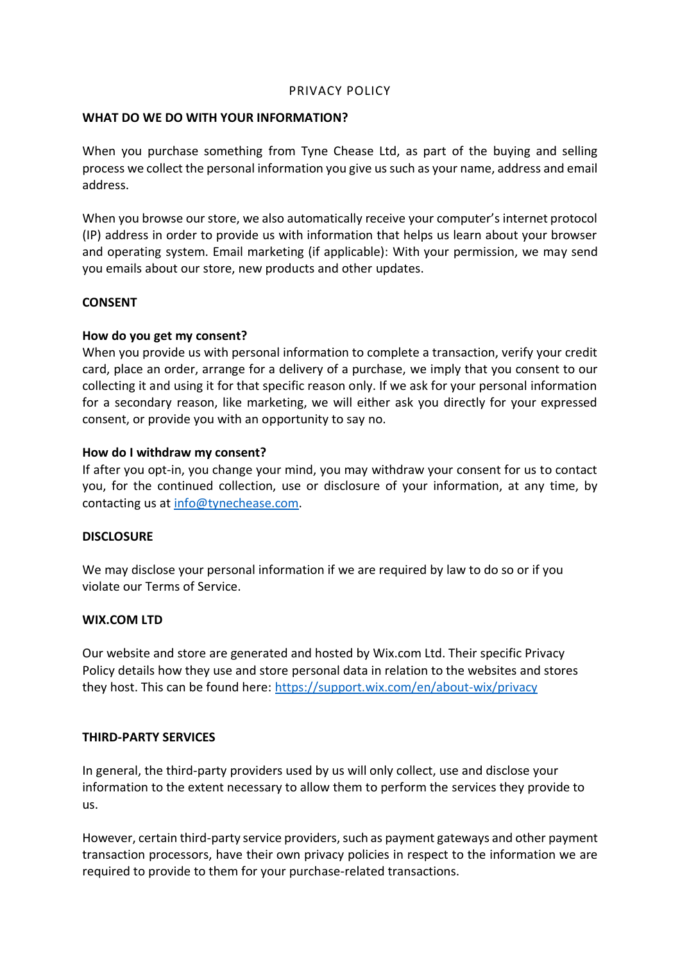### PRIVACY POLICY

#### **WHAT DO WE DO WITH YOUR INFORMATION?**

When you purchase something from Tyne Chease Ltd, as part of the buying and selling process we collect the personal information you give us such as your name, address and email address.

When you browse our store, we also automatically receive your computer's internet protocol (IP) address in order to provide us with information that helps us learn about your browser and operating system. Email marketing (if applicable): With your permission, we may send you emails about our store, new products and other updates.

### **CONSENT**

### **How do you get my consent?**

When you provide us with personal information to complete a transaction, verify your credit card, place an order, arrange for a delivery of a purchase, we imply that you consent to our collecting it and using it for that specific reason only. If we ask for your personal information for a secondary reason, like marketing, we will either ask you directly for your expressed consent, or provide you with an opportunity to say no.

### **How do I withdraw my consent?**

If after you opt-in, you change your mind, you may withdraw your consent for us to contact you, for the continued collection, use or disclosure of your information, at any time, by contacting us at [info@tynechease.com.](mailto:info@tynechease.com)

### **DISCLOSURE**

We may disclose your personal information if we are required by law to do so or if you violate our Terms of Service.

### **WIX.COM LTD**

Our website and store are generated and hosted by Wix.com Ltd. Their specific Privacy Policy details how they use and store personal data in relation to the websites and stores they host. This can be found here:<https://support.wix.com/en/about-wix/privacy>

### **THIRD-PARTY SERVICES**

In general, the third-party providers used by us will only collect, use and disclose your information to the extent necessary to allow them to perform the services they provide to us.

However, certain third-party service providers, such as payment gateways and other payment transaction processors, have their own privacy policies in respect to the information we are required to provide to them for your purchase-related transactions.